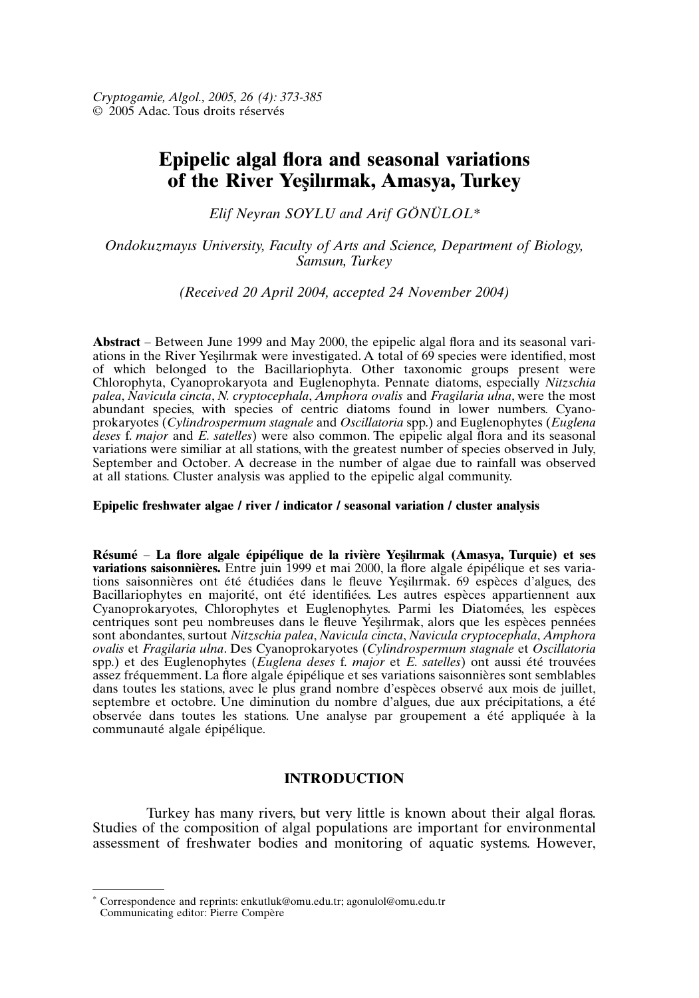# **Epipelic algal flora and seasonal variations of the River Yes¸ilırmak, Amasya, Turkey**

*Elif Neyran SOYLU and Arif GÖNÜLOL\**

*Ondokuzmayıs University, Faculty of Arts and Science, Department of Biology, Samsun, Turkey*

*(Received 20 April 2004, accepted 24 November 2004)*

**Abstract** – Between June 1999 and May 2000, the epipelic algal flora and its seasonal variations in the River Yesilirmak were investigated. A total of  $6\overline{9}$  species were identified, most of which belonged to the Bacillariophyta. Other taxonomic groups present were Chlorophyta, Cyanoprokaryota and Euglenophyta. Pennate diatoms, especially *Nitzschia palea*, *Navicula cincta*, *N. cryptocephala*, *Amphora ovalis* and *Fragilaria ulna*, were the most abundant species, with species of centric diatoms found in lower numbers. Cyanoprokaryotes (*Cylindrospermum stagnale* and *Oscillatoria* spp.) and Euglenophytes (*Euglena deses* f. *major* and *E. satelles*) were also common. The epipelic algal flora and its seasonal variations were similiar at all stations, with the greatest number of species observed in July, September and October. A decrease in the number of algae due to rainfall was observed at all stations. Cluster analysis was applied to the epipelic algal community.

## **Epipelic freshwater algae / river / indicator / seasonal variation / cluster analysis**

**Résumé** – **La flore algale épipélique de la rivière Yes¸ilırmak (Amasya, Turquie) et ses variations saisonnières.** Entre juin 1999 et mai 2000, la flore algale épipélique et ses variations saisonnières ont été étudiées dans le fleuve Yesilirmak. 69 espèces d'algues, des Bacillariophytes en majorité, ont été identifiées. Les autres espèces appartiennent aux Cyanoprokaryotes, Chlorophytes et Euglenophytes. Parmi les Diatomées, les espèces centriques sont peu nombreuses dans le fleuve Yesilirmak, alors que les espèces pennées sont abondantes, surtout *Nitzschia palea*, *Navicula cincta*, *Navicula cryptocephala*, *Amphora ovalis* et *Fragilaria ulna*. Des Cyanoprokaryotes (*Cylindrospermum stagnale* et *Oscillatoria* spp.) et des Euglenophytes (*Euglena deses* f. *major* et *E. satelles*) ont aussi été trouvées assez fréquemment. La flore algale épipélique et ses variations saisonnières sont semblables dans toutes les stations, avec le plus grand nombre d'espèces observé aux mois de juillet, septembre et octobre. Une diminution du nombre d'algues, due aux précipitations, a été observée dans toutes les stations. Une analyse par groupement a été appliquée à la communauté algale épipélique.

## **INTRODUCTION**

Turkey has many rivers, but very little is known about their algal floras. Studies of the composition of algal populations are important for environmental assessment of freshwater bodies and monitoring of aquatic systems. However,

Correspondence and reprints: enkutluk@omu.edu.tr; agonulol@omu.edu.tr Communicating editor: Pierre Compère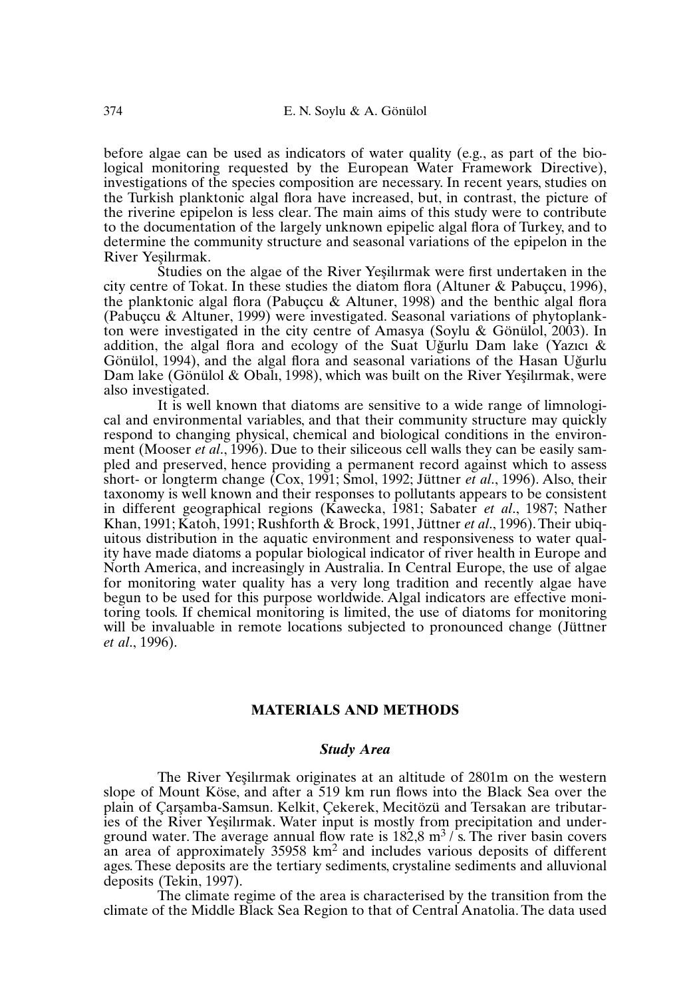before algae can be used as indicators of water quality (e.g., as part of the biological monitoring requested by the European Water Framework Directive), investigations of the species composition are necessary. In recent years, studies on the Turkish planktonic algal flora have increased, but, in contrast, the picture of the riverine epipelon is less clear. The main aims of this study were to contribute to the documentation of the largely unknown epipelic algal flora of Turkey, and to determine the community structure and seasonal variations of the epipelon in the River Yesilırmak.

Studies on the algae of the River Yeşilirmak were first undertaken in the city centre of Tokat. In these studies the diatom flora (Altuner & Pabuçcu, 1996), the planktonic algal flora (Pabuçcu & Altuner, 1998) and the benthic algal flora (Pabuçcu & Altuner, 1999) were investigated. Seasonal variations of phytoplankton were investigated in the city centre of Amasya (Soylu & Gönülol, 2003). In addition, the algal flora and ecology of the Suat Uğurlu Dam lake (Yazıcı  $\&$ Gönülol, 1994), and the algal flora and seasonal variations of the Hasan Uğurlu Dam lake (Gönülol & Obalı, 1998), which was built on the River Yeşilirmak, were also investigated.

It is well known that diatoms are sensitive to a wide range of limnological and environmental variables, and that their community structure may quickly respond to changing physical, chemical and biological conditions in the environment (Mooser *et al*., 1996). Due to their siliceous cell walls they can be easily sampled and preserved, hence providing a permanent record against which to assess short- or longterm change (Cox, 1991; Smol, 1992; Jüttner *et al*., 1996). Also, their taxonomy is well known and their responses to pollutants appears to be consistent in different geographical regions (Kawecka, 1981; Sabater *et al*., 1987; Nather Khan, 1991; Katoh, 1991; Rushforth & Brock, 1991, Jüttner *et al*., 1996).Their ubiquitous distribution in the aquatic environment and responsiveness to water quality have made diatoms a popular biological indicator of river health in Europe and North America, and increasingly in Australia. In Central Europe, the use of algae for monitoring water quality has a very long tradition and recently algae have begun to be used for this purpose worldwide. Algal indicators are effective monitoring tools. If chemical monitoring is limited, the use of diatoms for monitoring will be invaluable in remote locations subjected to pronounced change (Jüttner *et al*., 1996).

### **MATERIALS AND METHODS**

#### *Study Area*

The River Yesilirmak originates at an altitude of 2801m on the western slope of Mount Köse, and after a 519 km run flows into the Black Sea over the plain of Carsamba-Samsun. Kelkit, Çekerek, Mecitözü and Tersakan are tributaries of the River Yesilirmak. Water input is mostly from precipitation and underground water. The average annual flow rate is  $182.8 \text{ m}^3$  /s. The river basin covers an area of approximately 35958 km2 and includes various deposits of different ages.These deposits are the tertiary sediments, crystaline sediments and alluvional deposits (Tekin, 1997).

The climate regime of the area is characterised by the transition from the climate of the Middle Black Sea Region to that of Central Anatolia.The data used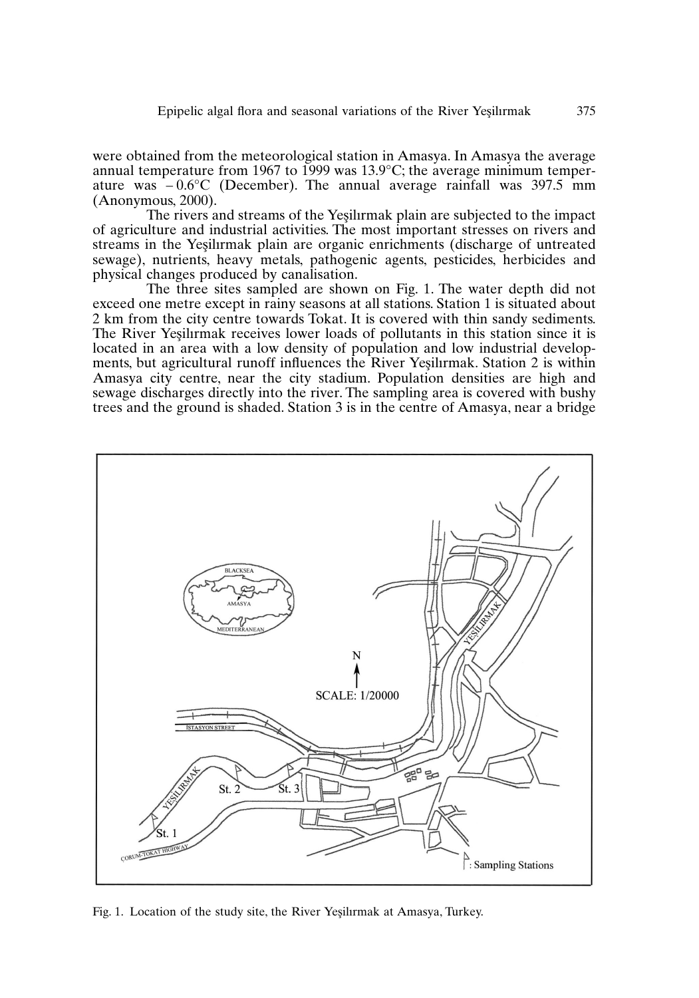were obtained from the meteorological station in Amasya. In Amasya the average annual temperature from 1967 to 1999 was 13.9°C; the average minimum temperature was  $-0.6^{\circ}$ C (December). The annual average rainfall was 397.5 mm (Anonymous, 2000).

The rivers and streams of the Yesilirmak plain are subjected to the impact of agriculture and industrial activities. The most important stresses on rivers and streams in the Yesilirmak plain are organic enrichments (discharge of untreated sewage), nutrients, heavy metals, pathogenic agents, pesticides, herbicides and physical changes produced by canalisation.

The three sites sampled are shown on Fig. 1. The water depth did not exceed one metre except in rainy seasons at all stations. Station 1 is situated about 2 km from the city centre towards Tokat. It is covered with thin sandy sediments. The River Yeşilırmak receives lower loads of pollutants in this station since it is located in an area with a low density of population and low industrial developments, but agricultural runoff influences the River Yesilirmak. Station 2 is within Amasya city centre, near the city stadium. Population densities are high and sewage discharges directly into the river. The sampling area is covered with bushy trees and the ground is shaded. Station 3 is in the centre of Amasya, near a bridge



Fig. 1. Location of the study site, the River Yesilirmak at Amasya, Turkey.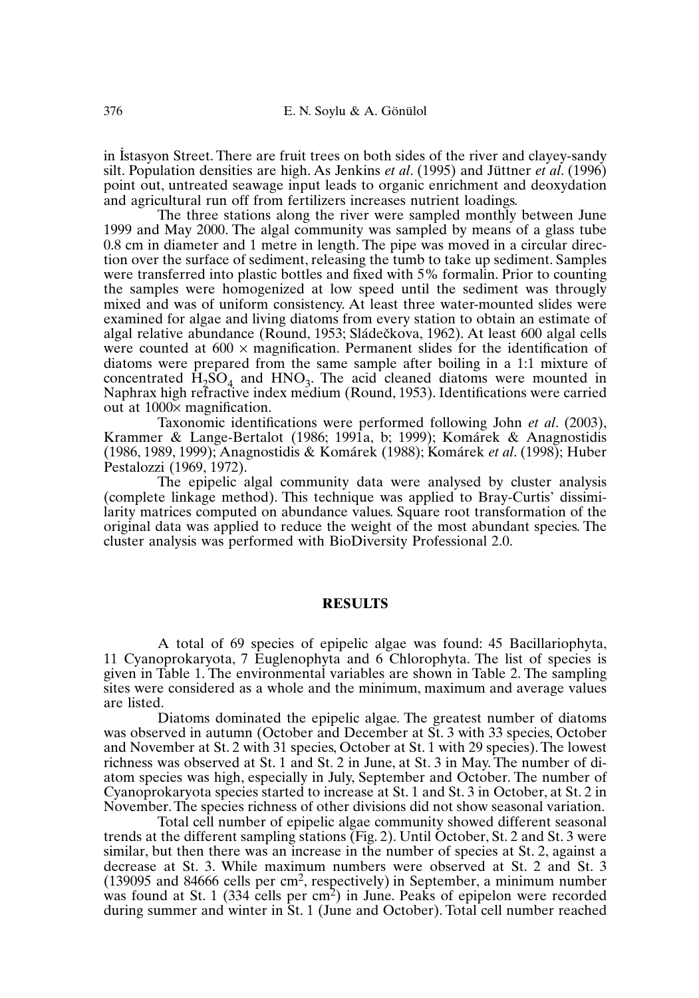in I . stasyon Street. There are fruit trees on both sides of the river and clayey-sandy silt. Population densities are high. As Jenkins *et al*. (1995) and Jüttner *et al*. (1996) point out, untreated seawage input leads to organic enrichment and deoxydation and agricultural run off from fertilizers increases nutrient loadings.

The three stations along the river were sampled monthly between June 1999 and May 2000. The algal community was sampled by means of a glass tube 0.8 cm in diameter and 1 metre in length. The pipe was moved in a circular direction over the surface of sediment, releasing the tumb to take up sediment.Samples were transferred into plastic bottles and fixed with 5% formalin. Prior to counting the samples were homogenized at low speed until the sediment was througly mixed and was of uniform consistency. At least three water-mounted slides were examined for algae and living diatoms from every station to obtain an estimate of algal relative abundance (Round, 1953; Sládečkova, 1962). At least 600 algal cells were counted at  $600 \times$  magnification. Permanent slides for the identification of diatoms were prepared from the same sample after boiling in a 1:1 mixture of concentrated  $H_2SO_4$  and  $HNO_3$ . The acid cleaned diatoms were mounted in Naphrax high refractive index medium (Round, 1953). Identifications were carried out at 1000× magnification.

Taxonomic identifications were performed following John *et al*. (2003), Krammer & Lange-Bertalot (1986; 1991a, b; 1999); Komárek & Anagnostidis (1986, 1989, 1999); Anagnostidis & Komárek (1988); Komárek *et al*. (1998); Huber Pestalozzi (1969, 1972).

The epipelic algal community data were analysed by cluster analysis (complete linkage method). This technique was applied to Bray-Curtis' dissimilarity matrices computed on abundance values. Square root transformation of the original data was applied to reduce the weight of the most abundant species. The cluster analysis was performed with BioDiversity Professional 2.0.

## **RESULTS**

A total of 69 species of epipelic algae was found: 45 Bacillariophyta, 11 Cyanoprokaryota, 7 Euglenophyta and 6 Chlorophyta. The list of species is given in Table 1. The environmental variables are shown in Table 2. The sampling sites were considered as a whole and the minimum, maximum and average values are listed.

Diatoms dominated the epipelic algae. The greatest number of diatoms was observed in autumn (October and December at St. 3 with 33 species, October and November at St. 2 with 31 species, October at St. 1 with 29 species).The lowest richness was observed at St. 1 and St. 2 in June, at St. 3 in May. The number of diatom species was high, especially in July, September and October. The number of Cyanoprokaryota species started to increase at St. 1 and St. 3 in October, at St. 2 in November.The species richness of other divisions did not show seasonal variation.

Total cell number of epipelic algae community showed different seasonal trends at the different sampling stations (Fig. 2). Until October, St. 2 and St. 3 were similar, but then there was an increase in the number of species at St. 2, against a decrease at St. 3. While maximum numbers were observed at St. 2 and St. 3 (139095 and 84666 cells per cm<sup>2</sup>, respectively) in September, a minimum number was found at St. 1 (334 cells per  $\text{cm}^2$ ) in June. Peaks of epipelon were recorded during summer and winter in St. 1 (June and October). Total cell number reached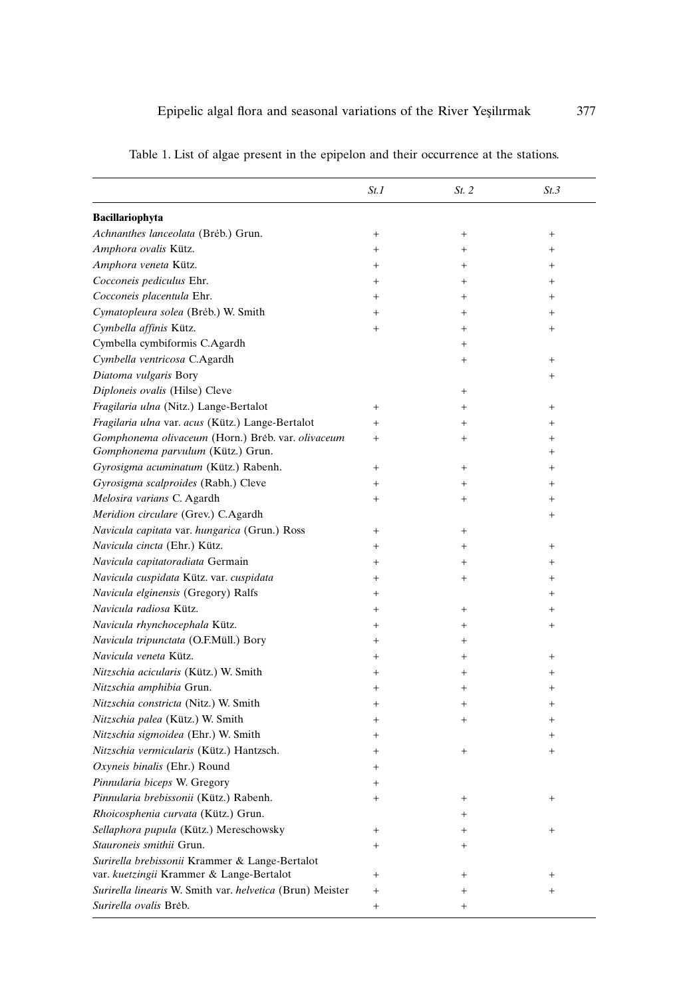|                                                                                        | St.1                             | St. 2  | St.3            |
|----------------------------------------------------------------------------------------|----------------------------------|--------|-----------------|
|                                                                                        |                                  |        |                 |
| Bacillariophyta                                                                        |                                  |        |                 |
| Achnanthes lanceolata (Breb.) Grun.                                                    | $\begin{array}{c} + \end{array}$ | $^{+}$ | $^{+}$          |
| Amphora ovalis Kütz.                                                                   | $^{+}$                           | $^{+}$ | $+$             |
| Amphora veneta Kütz.                                                                   | $^{+}$                           | $^{+}$ | $^{+}$          |
| Cocconeis pediculus Ehr.                                                               | $^{+}$                           | $^{+}$ | $\! + \!\!\!\!$ |
| Cocconeis placentula Ehr.                                                              | $^{+}$                           | $^{+}$ | $^{+}$          |
| Cymatopleura solea (Brėb.) W. Smith                                                    | $^{+}$                           | $+$    | $+$             |
| Cymbella affinis Kütz.                                                                 | $^{+}$                           | $^{+}$ | $\! + \!\!\!\!$ |
| Cymbella cymbiformis C.Agardh                                                          |                                  | $^{+}$ |                 |
| Cymbella ventricosa C.Agardh                                                           |                                  | $^{+}$ | $\! + \!\!\!\!$ |
| Diatoma vulgaris Bory                                                                  |                                  |        | $^{+}$          |
| Diploneis ovalis (Hilse) Cleve                                                         |                                  | $\! +$ |                 |
| Fragilaria ulna (Nitz.) Lange-Bertalot                                                 | $^{+}$                           | $^{+}$ | $^{+}$          |
| Fragilaria ulna var. acus (Kütz.) Lange-Bertalot                                       | $^{+}$                           | $^{+}$ | $\! + \!\!\!\!$ |
| Gomphonema olivaceum (Horn.) Brėb. var. olivaceum<br>Gomphonema parvulum (Kütz.) Grun. | $^{+}$                           | $^{+}$ | $^{+}$<br>$+$   |
| Gyrosigma acuminatum (Kütz.) Rabenh.                                                   | $^{+}$                           | $^{+}$ | $^{+}$          |
| Gyrosigma scalproides (Rabh.) Cleve                                                    | $^{+}$                           | $^{+}$ | $^{+}$          |
| Melosira varians C. Agardh                                                             | $^{+}$                           | $^{+}$ | $\! + \!\!\!\!$ |
| Meridion circulare (Grev.) C.Agardh                                                    |                                  |        | $^{+}$          |
| Navicula capitata var. hungarica (Grun.) Ross                                          | $^{+}$                           | $\! +$ |                 |
| Navicula cincta (Ehr.) Kütz.                                                           | $^{+}$                           | $^{+}$ | $^{+}$          |
| Navicula capitatoradiata Germain                                                       | $^{+}$                           | $^{+}$ | $+$             |
| Navicula cuspidata Kütz. var. cuspidata                                                | $^{+}$                           | $^{+}$ | $^{+}$          |
| Navicula elginensis (Gregory) Ralfs                                                    | $^{+}$                           |        | $+$             |
| Navicula radiosa Kütz.                                                                 | $^{+}$                           | $^{+}$ | $^{+}$          |
| Navicula rhynchocephala Kütz.                                                          | $^{+}$                           | $^{+}$ | $\! + \!\!\!\!$ |
| Navicula tripunctata (O.F.Müll.) Bory                                                  | $^{+}$                           |        |                 |
| Navicula veneta Kütz.                                                                  |                                  | $^{+}$ |                 |
|                                                                                        | $^{+}$                           | $^{+}$ | $^{+}$          |
| Nitzschia acicularis (Kütz.) W. Smith                                                  | $^{+}$                           | $^{+}$ | $+$             |
| Nitzschia amphibia Grun.                                                               | $^{+}$                           | $^{+}$ | $^{+}$          |
| Nitzschia constricta (Nitz.) W. Smith<br>Nitzschia palea (Kütz.) W. Smith              | $^{+}$                           | $^{+}$ | $\! + \!\!\!\!$ |
|                                                                                        | $^{+}$                           | $^{+}$ | $^{+}$          |
| Nitzschia sigmoidea (Ehr.) W. Smith                                                    | $^{+}$                           |        | $\! + \!\!\!\!$ |
| Nitzschia vermicularis (Kütz.) Hantzsch.                                               | $^{+}$                           | $+$    | $\! + \!\!\!\!$ |
| Oxyneis binalis (Ehr.) Round                                                           | $\ddot{}$                        |        |                 |
| Pinnularia biceps W. Gregory                                                           | $\overline{+}$                   |        |                 |
| Pinnularia brebissonii (Kütz.) Rabenh.                                                 | $^{+}$                           | $^{+}$ |                 |
| Rhoicosphenia curvata (Kütz.) Grun.                                                    |                                  | $^{+}$ |                 |
| Sellaphora pupula (Kütz.) Mereschowsky                                                 | $^{+}$                           | $^{+}$ | $^{+}$          |
| Stauroneis smithii Grun.                                                               | $^{+}$                           | $^{+}$ |                 |
| Surirella brebissonii Krammer & Lange-Bertalot                                         |                                  |        |                 |
| var. kuetzingii Krammer & Lange-Bertalot                                               | $^{+}$                           | $^{+}$ | $^{+}$          |
| Surirella linearis W. Smith var. helvetica (Brun) Meister                              | $^{+}$                           | $^{+}$ | $^{+}$          |
| Surirella ovalis Breb.                                                                 | $^{+}$                           | $^{+}$ |                 |

Table 1. List of algae present in the epipelon and their occurrence at the stations.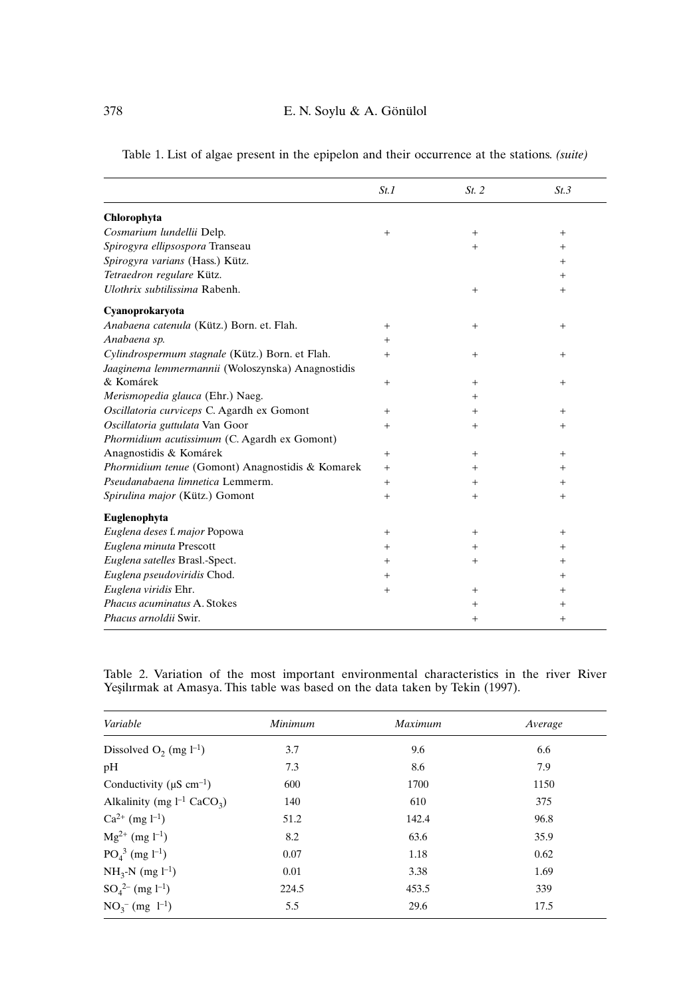|                                                   | St.1   | St. 2  | St.3   |
|---------------------------------------------------|--------|--------|--------|
| Chlorophyta                                       |        |        |        |
| Cosmarium lundellii Delp.                         | $^{+}$ | $+$    | $+$    |
| Spirogyra ellipsospora Transeau                   |        | $+$    | $^{+}$ |
| Spirogyra varians (Hass.) Kütz.                   |        |        | $\pm$  |
| Tetraedron regulare Kütz.                         |        |        | $^+$   |
| Ulothrix subtilissima Rabenh.                     |        | $^{+}$ | $^{+}$ |
| Cyanoprokaryota                                   |        |        |        |
| Anabaena catenula (Kütz.) Born. et. Flah.         | $^{+}$ | $+$    | $+$    |
| Anabaena sp.                                      | $\pm$  |        |        |
| Cylindrospermum stagnale (Kütz.) Born. et Flah.   | $^{+}$ | $+$    | $^{+}$ |
| Jaaginema lemmermannii (Woloszynska) Anagnostidis |        |        |        |
| & Komárek                                         | $^{+}$ | $+$    | $^{+}$ |
| Merismopedia glauca (Ehr.) Naeg.                  |        | $^{+}$ |        |
| Oscillatoria curviceps C. Agardh ex Gomont        | $^{+}$ | $+$    | $^{+}$ |
| Oscillatoria guttulata Van Goor                   | $^{+}$ | $^{+}$ | $^+$   |
| Phormidium acutissimum (C. Agardh ex Gomont)      |        |        |        |
| Anagnostidis & Komárek                            | $^{+}$ | $+$    | $^{+}$ |
| Phormidium tenue (Gomont) Anagnostidis & Komarek  | $^{+}$ | $^{+}$ | $^{+}$ |
| Pseudanabaena limnetica Lemmerm.                  | $^{+}$ | $^{+}$ | $^+$   |
| Spirulina major (Kütz.) Gomont                    | $^{+}$ | $^{+}$ | $^{+}$ |
| Euglenophyta                                      |        |        |        |
| Euglena deses f. major Popowa                     | $^{+}$ | $^{+}$ | $^{+}$ |
| Euglena minuta Prescott                           | $^{+}$ | $+$    | $^{+}$ |
| Euglena satelles Brasl.-Spect.                    | $^{+}$ | $^{+}$ | $^+$   |
| Euglena pseudoviridis Chod.                       | $^{+}$ |        | $^{+}$ |
| Euglena viridis Ehr.                              | $^{+}$ | $+$    | $\pm$  |
| Phacus acuminatus A. Stokes                       |        | $^{+}$ | $^{+}$ |
| Phacus arnoldii Swir.                             |        | $^{+}$ | $^{+}$ |

Table 1. List of algae present in the epipelon and their occurrence at the stations. *(suite)*

Table 2. Variation of the most important environmental characteristics in the river River Yeşilırmak at Amasya. This table was based on the data taken by Tekin (1997).

| Variable                                    | Minimum | Maximum | Average |
|---------------------------------------------|---------|---------|---------|
| Dissolved $O_2$ (mg $l^{-1}$ )              | 3.7     | 9.6     | 6.6     |
| pH                                          | 7.3     | 8.6     | 7.9     |
| Conductivity ( $\mu$ S cm <sup>-1</sup> )   | 600     | 1700    | 1150    |
| Alkalinity (mg $l^{-1}$ CaCO <sub>3</sub> ) | 140     | 610     | 375     |
| $Ca^{2+}$ (mg $l^{-1}$ )                    | 51.2    | 142.4   | 96.8    |
| $Mg^{2+}$ (mg l <sup>-1</sup> )             | 8.2     | 63.6    | 35.9    |
| $PO43$ (mg l <sup>-1</sup> )                | 0.07    | 1.18    | 0.62    |
| $NH_{3}N$ (mg $l^{-1}$ )                    | 0.01    | 3.38    | 1.69    |
| $SO_4^{2-}$ (mg l <sup>-1</sup> )           | 224.5   | 453.5   | 339     |
| $NO_3^-$ (mg $l^{-1}$ )                     | 5.5     | 29.6    | 17.5    |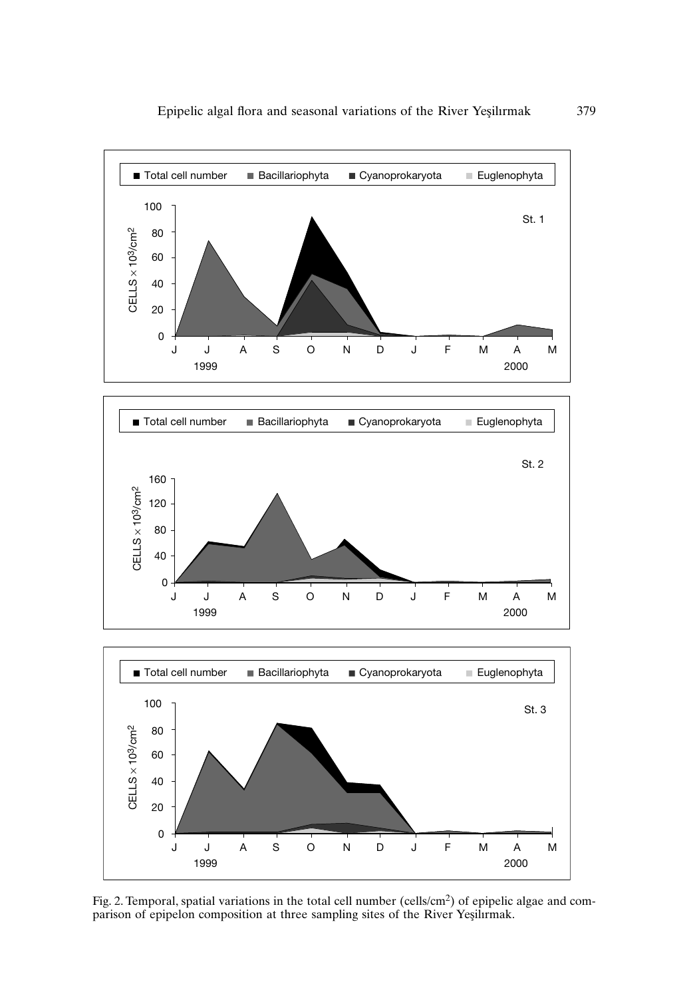

Fig. 2. Temporal, spatial variations in the total cell number (cells/cm<sup>2</sup>) of epipelic algae and comparison of epipelon composition at three sampling sites of the River Yeşilirmak.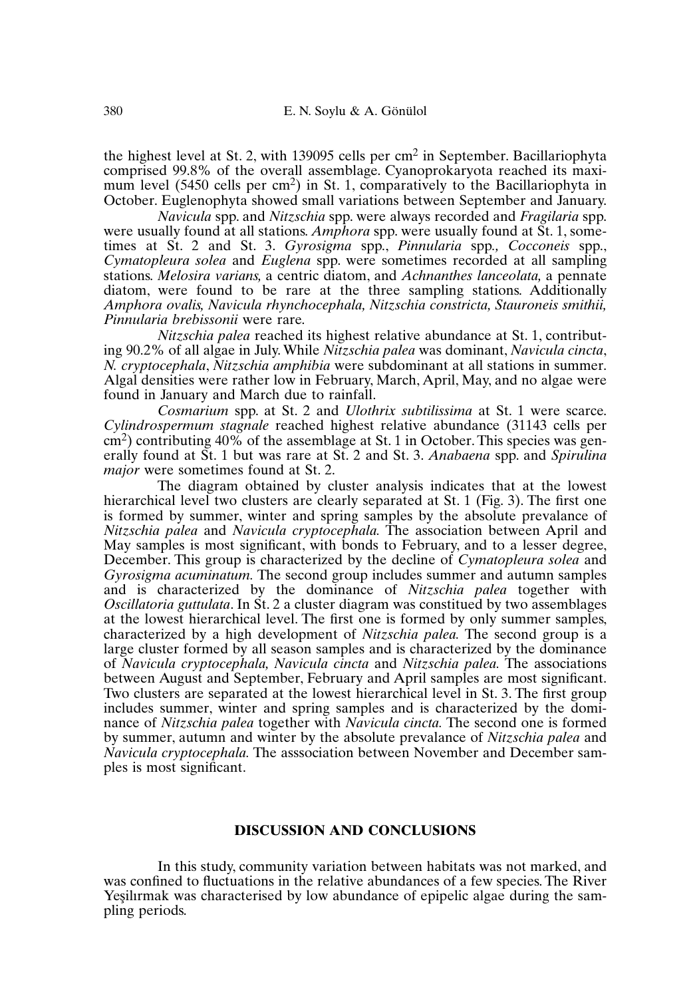the highest level at St. 2, with 139095 cells per  $\text{cm}^2$  in September. Bacillariophyta comprised 99.8% of the overall assemblage. Cyanoprokaryota reached its maximum level (5450 cells per cm<sup>2</sup>) in St. 1, comparatively to the Bacillariophyta in October. Euglenophyta showed small variations between September and January.

*Navicula* spp. and *Nitzschia* spp. were always recorded and *Fragilaria* spp. were usually found at all stations. *Amphora* spp. were usually found at St. 1, sometimes at St. 2 and St. 3. *Gyrosigma* spp., *Pinnularia* spp*., Cocconeis* spp., *Cymatopleura solea* and *Euglena* spp. were sometimes recorded at all sampling stations. *Melosira varians,* a centric diatom, and *Achnanthes lanceolata,* a pennate diatom, were found to be rare at the three sampling stations. Additionally *Amphora ovalis, Navicula rhynchocephala, Nitzschia constricta, Stauroneis smithii, Pinnularia brebissonii* were rare.

*Nitzschia palea* reached its highest relative abundance at St. 1, contributing 90.2% of all algae in July.While *Nitzschia palea* was dominant, *Navicula cincta*, *N. cryptocephala*, *Nitzschia amphibia* were subdominant at all stations in summer. Algal densities were rather low in February, March, April, May, and no algae were found in January and March due to rainfall.

*Cosmarium* spp. at St. 2 and *Ulothrix subtilissima* at St. 1 were scarce. *Cylindrospermum stagnale* reached highest relative abundance (31143 cells per cm<sup>2</sup> ) contributing 40% of the assemblage at St. 1 in October.This species was generally found at St. 1 but was rare at St. 2 and St. 3. *Anabaena* spp. and *Spirulina major* were sometimes found at St. 2.

The diagram obtained by cluster analysis indicates that at the lowest hierarchical level two clusters are clearly separated at St. 1 (Fig. 3). The first one is formed by summer, winter and spring samples by the absolute prevalance of *Nitzschia palea* and *Navicula cryptocephala.* The association between April and May samples is most significant, with bonds to February, and to a lesser degree, December. This group is characterized by the decline of *Cymatopleura solea* and *Gyrosigma acuminatum.* The second group includes summer and autumn samples and is characterized by the dominance of *Nitzschia palea* together with *Oscillatoria guttulata*. In St. 2 a cluster diagram was constitued by two assemblages at the lowest hierarchical level. The first one is formed by only summer samples, characterized by a high development of *Nitzschia palea.* The second group is a large cluster formed by all season samples and is characterized by the dominance of *Navicula cryptocephala, Navicula cincta* and *Nitzschia palea.* The associations between August and September, February and April samples are most significant. Two clusters are separated at the lowest hierarchical level in St. 3. The first group includes summer, winter and spring samples and is characterized by the dominance of *Nitzschia palea* together with *Navicula cincta.* The second one is formed by summer, autumn and winter by the absolute prevalance of *Nitzschia palea* and *Navicula cryptocephala.* The asssociation between November and December samples is most significant.

## **DISCUSSION AND CONCLUSIONS**

In this study, community variation between habitats was not marked, and was confined to fluctuations in the relative abundances of a few species. The River Yesilirmak was characterised by low abundance of epipelic algae during the sampling periods.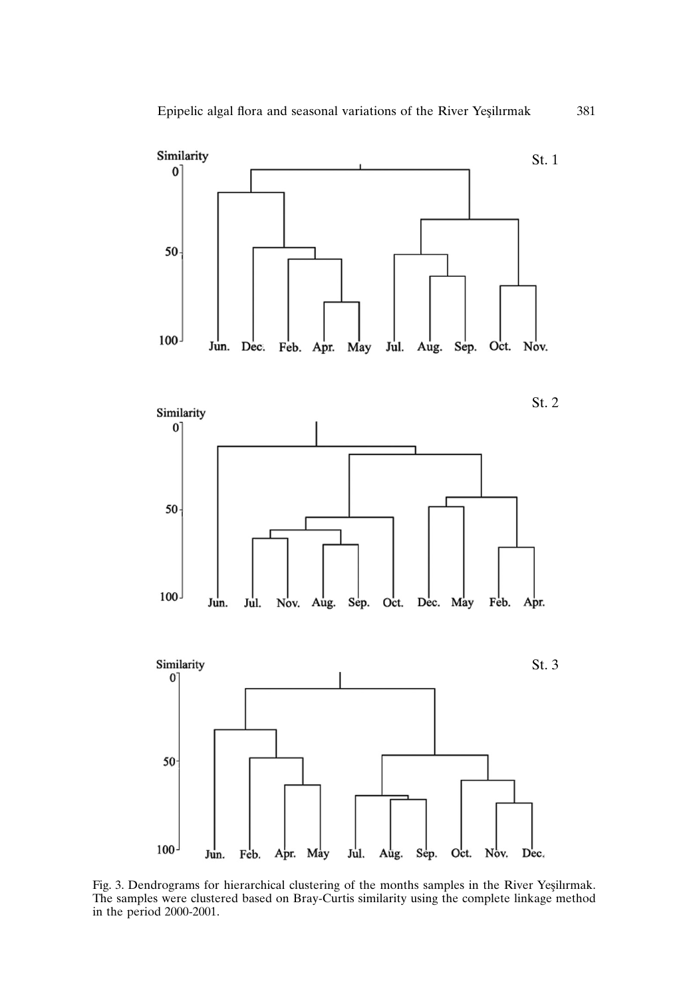

Fig. 3. Dendrograms for hierarchical clustering of the months samples in the River Yeşilırmak. The samples were clustered based on Bray-Curtis similarity using the complete linkage method in the period 2000-2001.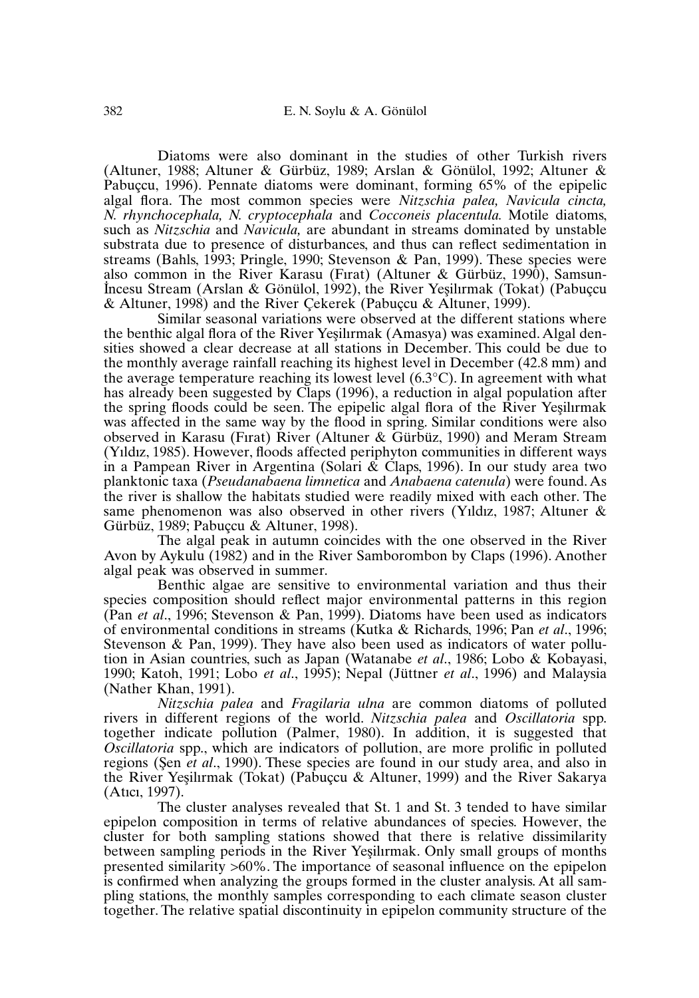Diatoms were also dominant in the studies of other Turkish rivers (Altuner, 1988; Altuner & Gürbüz, 1989; Arslan & Gönülol, 1992; Altuner & Pabuçcu, 1996). Pennate diatoms were dominant, forming 65% of the epipelic algal flora. The most common species were *Nitzschia palea, Navicula cincta, N. rhynchocephala, N. cryptocephala* and *Cocconeis placentula.* Motile diatoms, such as *Nitzschia* and *Navicula,* are abundant in streams dominated by unstable substrata due to presence of disturbances, and thus can reflect sedimentation in streams (Bahls, 1993; Pringle, 1990; Stevenson & Pan, 1999). These species were also common in the River Karasu (Fırat) (Altuner & Gürbüz, 1990), Samsun-. I ncesu Stream (Arslan & Gönülol, 1992), the River Yes¸ilırmak (Tokat) (Pabuçcu & Altuner, 1998) and the River Çekerek (Pabuçcu & Altuner, 1999).

Similar seasonal variations were observed at the different stations where the benthic algal flora of the River Yesilirmak (Amasya) was examined. Algal densities showed a clear decrease at all stations in December. This could be due to the monthly average rainfall reaching its highest level in December (42.8 mm) and the average temperature reaching its lowest level  $(6.3^{\circ}C)$ . In agreement with what has already been suggested by Claps (1996), a reduction in algal population after the spring floods could be seen. The epipelic algal flora of the River Yesilirmak was affected in the same way by the flood in spring. Similar conditions were also observed in Karasu (Fırat) River (Altuner & Gürbüz, 1990) and Meram Stream (Yıldız, 1985). However, floods affected periphyton communities in different ways in a Pampean River in Argentina (Solari  $\&$  Claps, 1996). In our study area two planktonic taxa (*Pseudanabaena limnetica* and *Anabaena catenula*) were found. As the river is shallow the habitats studied were readily mixed with each other. The same phenomenon was also observed in other rivers (Yıldız, 1987; Altuner & Gürbüz, 1989; Pabuçcu & Altuner, 1998).

The algal peak in autumn coincides with the one observed in the River Avon by Aykulu (1982) and in the River Samborombon by Claps (1996). Another algal peak was observed in summer.

Benthic algae are sensitive to environmental variation and thus their species composition should reflect major environmental patterns in this region (Pan *et al*., 1996; Stevenson & Pan, 1999). Diatoms have been used as indicators of environmental conditions in streams (Kutka & Richards, 1996; Pan *et al*., 1996; Stevenson & Pan, 1999). They have also been used as indicators of water pollution in Asian countries, such as Japan (Watanabe *et al*., 1986; Lobo & Kobayasi, 1990; Katoh, 1991; Lobo *et al*., 1995); Nepal (Jüttner *et al*., 1996) and Malaysia (Nather Khan, 1991).

*Nitzschia palea* and *Fragilaria ulna* are common diatoms of polluted rivers in different regions of the world. *Nitzschia palea* and *Oscillatoria* spp. together indicate pollution (Palmer, 1980). In addition, it is suggested that *Oscillatoria* spp., which are indicators of pollution, are more prolific in polluted regions (Sen *et al.*, 1990). These species are found in our study area, and also in the River Yesilirmak (Tokat) (Pabuçcu & Altuner, 1999) and the River Sakarya (Atıcı, 1997).

The cluster analyses revealed that St. 1 and St. 3 tended to have similar epipelon composition in terms of relative abundances of species. However, the cluster for both sampling stations showed that there is relative dissimilarity between sampling periods in the River Yesilirmak. Only small groups of months presented similarity >60%. The importance of seasonal influence on the epipelon is confirmed when analyzing the groups formed in the cluster analysis. At all sampling stations, the monthly samples corresponding to each climate season cluster together. The relative spatial discontinuity in epipelon community structure of the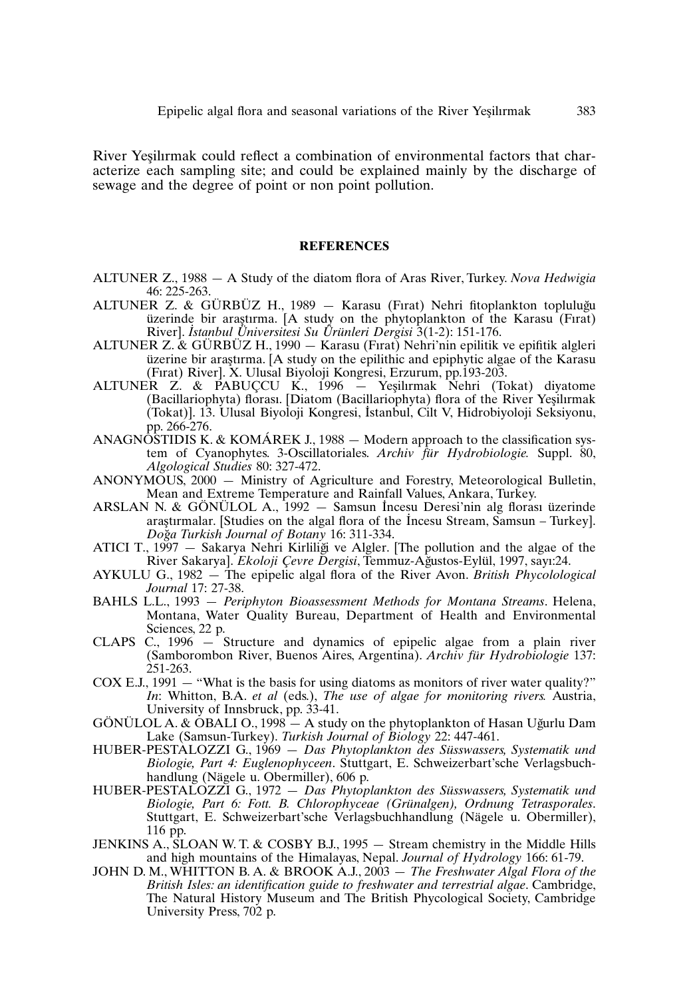River Yeşilırmak could reflect a combination of environmental factors that characterize each sampling site; and could be explained mainly by the discharge of sewage and the degree of point or non point pollution.

#### **REFERENCES**

- ALTUNER Z., 1988 A Study of the diatom flora of Aras River, Turkey. *Nova Hedwigia* 46: 225-263.
- ALTUNER Z. & GÜRBÜZ H., 1989 Karasu (Fırat) Nehri fitoplankton topluluğu üzerinde bir araştırma. [A study on the phytoplankton of the Karasu (Firat) River]. *I stanbul Üniversitesi Su Ürünleri Dergisi* 3(1-2): 151-176.
- ALTUNER Z. & GÜRBÜZ H., 1990 Karasu (Fırat) Nehri'nin epilitik ve epifitik algleri üzerine bir araştırma. [A study on the epilithic and epiphytic algae of the Karasu (Fırat) River]. X. Ulusal Biyoloji Kongresi, Erzurum, pp.193-203.
- ALTUNER Z. & PABUÇCU K., 1996 Yes¸ilırmak Nehri (Tokat) diyatome (Bacillariophyta) florası. [Diatom (Bacillariophyta) flora of the River Yeşilırmak (Bacıllariophyta) florası. [Diatom (Bacıllariophyta) flora of the River Yeşilirmak<br>(Tokat)]. 13. Ulusal Biyoloji Kongresi, İstanbul, Cilt V, Hidrobiyoloji Seksiyonu, pp. 266-276.
- ANAGNOSTIDIS K. & KOMÁREK J., 1988  $-$  Modern approach to the classification system of Cyanophytes. 3-Oscillatoriales. *Archiv für Hydrobiologie.* Suppl. 80, *Algological Studies* 80: 327-472.
- ANONYMOUS, 2000 Ministry of Agriculture and Forestry, Meteorological Bulletin, Mean and Extreme Temperature and Rainfall Values, Ankara, Turkey. .
- ARSLAN N. & GÖNÜLOL A., 1992 Samsun I ncesu Deresi'nin alg florası üzerinde . araştırmalar. [Studies on the algal flora of the Incesu Stream, Samsun – Turkey]. *Dog*˘*a Turkish Journal of Botany* 16: 311-334.
- ATICI T., 1997 Sakarya Nehri Kirliliği ve Algler. [The pollution and the algae of the River Sakarya]. *Ekoloji Çevre Dergisi*, Temmuz-Ag˘ustos-Eylül, 1997, sayı:24.
- AYKULU G., 1982 The epipelic algal flora of the River Avon. *British Phycolological Journal* 17: 27-38.
- BAHLS L.L., 1993 *Periphyton Bioassessment Methods for Montana Streams*. Helena, Montana, Water Quality Bureau, Department of Health and Environmental Sciences, 22 p.
- CLAPS C., 1996 Structure and dynamics of epipelic algae from a plain river (Samborombon River, Buenos Aires, Argentina). *Archiv für Hydrobiologie* 137: 251-263.
- COX E.J., 1991 "What is the basis for using diatoms as monitors of river water quality?" *In*: Whitton, B.A. *et al* (eds.), *The use of algae for monitoring rivers.* Austria, University of Innsbruck, pp. 33-41.
- GÖNÜLOL A. & OBALI O., 1998  $-A$  study on the phytoplankton of Hasan Uğurlu Dam Lake (Samsun-Turkey). *Turkish Journal of Biology* 22: 447-461.
- HUBER-PESTALOZZI G., 1969 *Das Phytoplankton des Süsswassers, Systematik und Biologie, Part 4: Euglenophyceen*. Stuttgart, E. Schweizerbart'sche Verlagsbuchhandlung (Nägele u. Obermiller), 606 p.
- HUBER-PESTALOZZI G., 1972 *Das Phytoplankton des Süsswassers, Systematik und Biologie, Part 6: Fott. B. Chlorophyceae (Grünalgen), Ordnung Tetrasporales*. Stuttgart, E. Schweizerbart'sche Verlagsbuchhandlung (Nägele u. Obermiller), 116 pp.
- JENKINS A., SLOAN W. T. & COSBY B.J., 1995 Stream chemistry in the Middle Hills and high mountains of the Himalayas, Nepal. *Journal of Hydrology* 166: 61-79.
- JOHN D. M., WHITTON B. A. & BROOK A.J., 2003 *The Freshwater Algal Flora of the British Isles: an identification guide to freshwater and terrestrial algae*. Cambridge, The Natural History Museum and The British Phycological Society, Cambridge University Press, 702 p.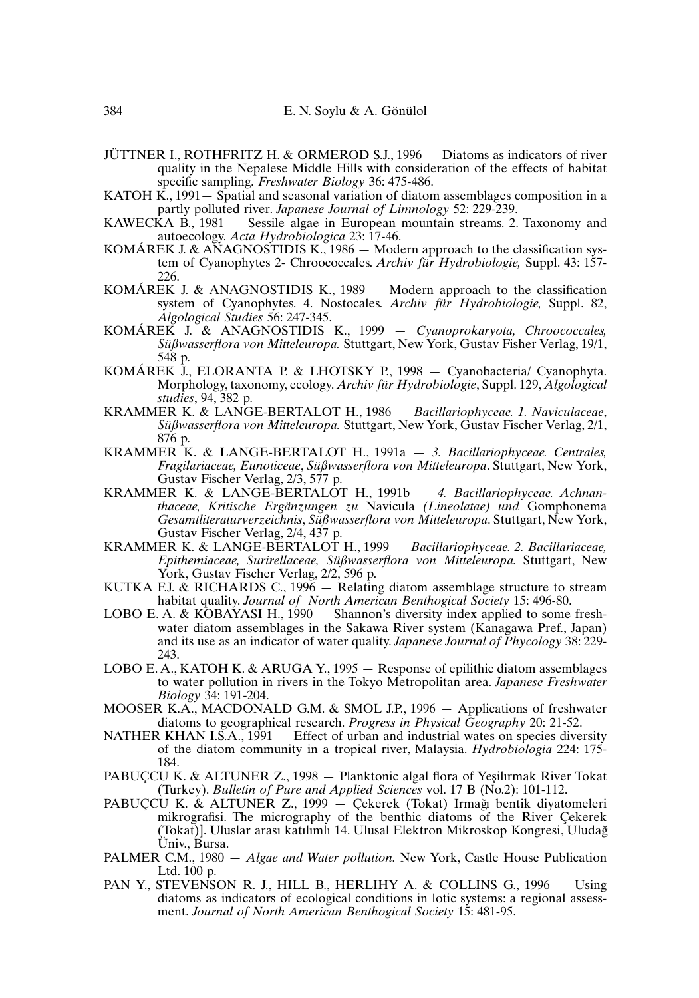- JÜTTNER I., ROTHFRITZ H. & ORMEROD S.J., 1996 Diatoms as indicators of river quality in the Nepalese Middle Hills with consideration of the effects of habitat specific sampling. *Freshwater Biology* 36: 475-486.
- KATOH  $\hat{K}$ , 1991 Spatial and seasonal variation of diatom assemblages composition in a partly polluted river. *Japanese Journal of Limnology* 52: 229-239.
- KAWECKA B., 1981 Sessile algae in European mountain streams. 2. Taxonomy and autoecology. *Acta Hydrobiologica* 23: 17-46.
- KOMÁREK J. & ANAGNOSTIDIS K., 1986 Modern approach to the classification system of Cyanophytes 2- Chroococcales. *Archiv für Hydrobiologie,* Suppl. 43: 157- 226.
- KOMÁREK J. & ANAGNOSTIDIS K., 1989 Modern approach to the classification system of Cyanophytes. 4. Nostocales*. Archiv für Hydrobiologie,* Suppl. 82, *Algological Studies* 56: 247-345.
- KOMÁREK J. & ANAGNOSTIDIS K., 1999 *Cyanoprokaryota, Chroococcales, Süßwasserflora von Mitteleuropa.* Stuttgart, New York, Gustav Fisher Verlag, 19/1, 548 p.
- KOMÁREK J., ELORANTA P. & LHOTSKY P., 1998 Cyanobacteria/ Cyanophyta. Morphology, taxonomy, ecology. *Archiv für Hydrobiologie*, Suppl. 129, *Algological studies*, 94, 382 p.
- KRAMMER K. & LANGE-BERTALOT H., 1986 *Bacillariophyceae. 1. Naviculaceae*, *Süßwasserflora von Mitteleuropa.* Stuttgart, New York, Gustav Fischer Verlag, 2/1, 876 p.
- KRAMMER K. & LANGE-BERTALOT H., 1991a *3. Bacillariophyceae. Centrales, Fragilariaceae, Eunoticeae*, *Süßwasserflora von Mitteleuropa*. Stuttgart, New York, Gustav Fischer Verlag, 2/3, 577 p.
- KRAMMER K. & LANGE-BERTALOT H., 1991b *4. Bacillariophyceae. Achnanthaceae, Kritische Ergänzungen zu* Navicula *(Lineolatae) und* Gomphonema *Gesamtliteraturverzeichnis*, *Süßwasserflora von Mitteleuropa*. Stuttgart, New York, Gustav Fischer Verlag, 2/4, 437 p.
- KRAMMER K. & LANGE-BERTALOT H., 1999 *Bacillariophyceae. 2. Bacillariaceae, Epithemiaceae, Surirellaceae, Süßwasserflora von Mitteleuropa.* Stuttgart, New York, Gustav Fischer Verlag, 2/2, 596 p.
- KUTKA F.J. & RICHARDS C.,  $1996 -$  Relating diatom assemblage structure to stream habitat quality. *Journal of North American Benthogical Society* 15: 496-80.
- LOBO E. A. & KOBAYASI H., 1990 Shannon's diversity index applied to some freshwater diatom assemblages in the Sakawa River system (Kanagawa Pref., Japan) and its use as an indicator of water quality. *Japanese Journal of Phycology* 38: 229- 243.
- LOBO E. A., KATOH K. & ARUGA Y., 1995 Response of epilithic diatom assemblages to water pollution in rivers in the Tokyo Metropolitan area. *Japanese Freshwater Biology* 34: 191-204.
- MOOSER K.A., MACDONALD G.M. & SMOL J.P., 1996 Applications of freshwater diatoms to geographical research. *Progress in Physical Geography* 20: 21-52.
- NATHER KHAN I.S.A., 1991 Effect of urban and industrial wates on species diversity of the diatom community in a tropical river, Malaysia. *Hydrobiologia* 224: 175- 184.
- PABUÇCU K. & ALTUNER Z., 1998 Planktonic algal flora of Yeşilırmak River Tokat (Turkey). *Bulletin of Pure and Applied Sciences* vol. 17 B (No.2): 101-112.
- PABUÇCU K. & ALTUNER Z., 1999 Çekerek (Tokat) Irmağı bentik diyatomeleri mikrografisi. The micrography of the benthic diatoms of the River Çekerek (Tokat)]. Uluslar arası katılımlı 14. Ulusal Elektron Mikroskop Kongresi, Uludag˘ Üniv., Bursa.
- PALMER C.M., 1980 *Algae and Water pollution.* New York, Castle House Publication Ltd. 100 p.
- PAN Y., STEVENSON R. J., HILL B., HERLIHY A. & COLLINS G., 1996 Using diatoms as indicators of ecological conditions in lotic systems: a regional assessment. *Journal of North American Benthogical Society* 15: 481-95.